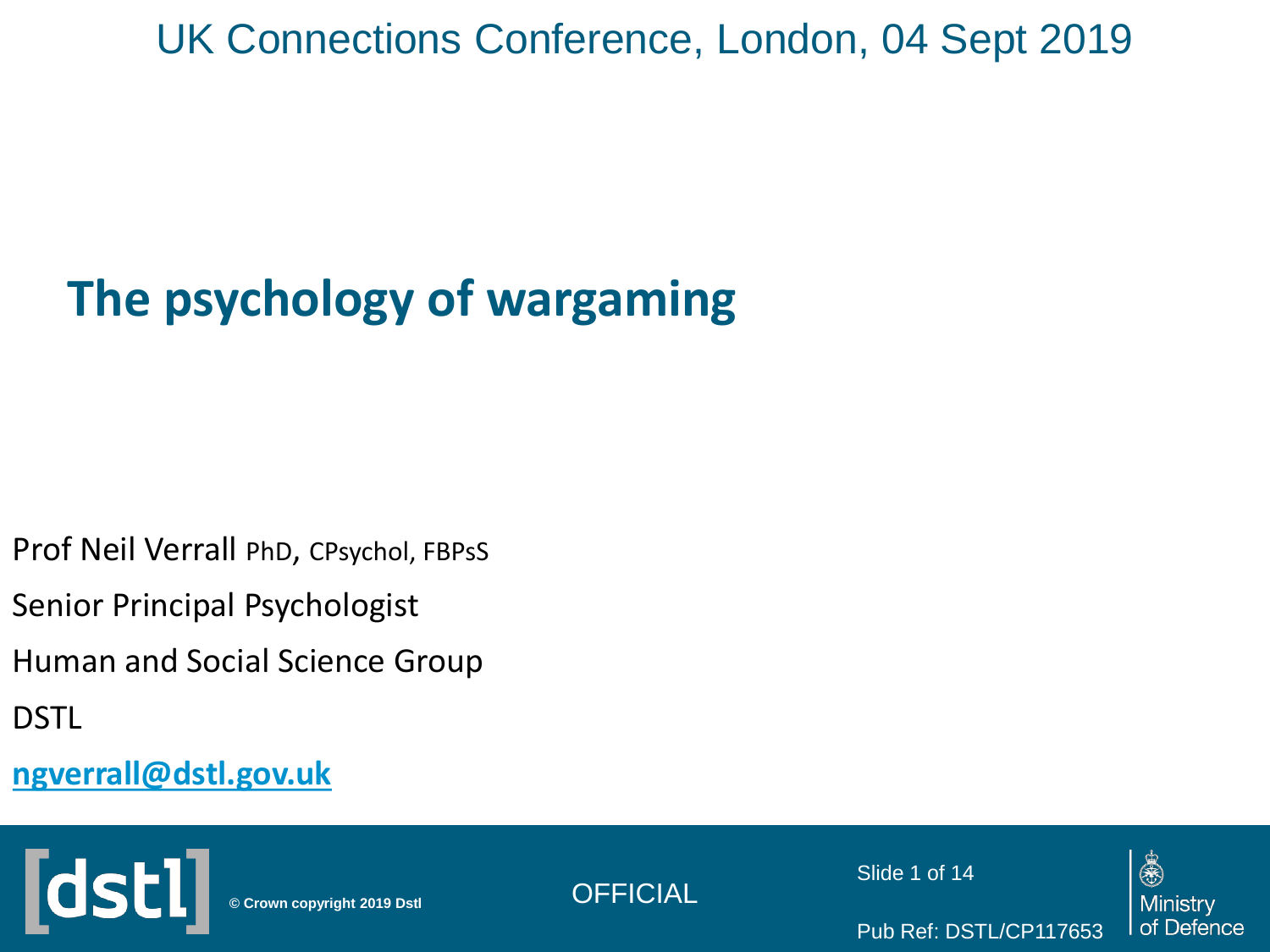### UK Connections Conference, London, 04 Sept 2019

### **The psychology of wargaming**

Prof Neil Verrall PhD, CPsychol, FBPsS

Senior Principal Psychologist

Human and Social Science Group

DSTL

**[ngverrall@dstl.gov.uk](mailto:ngverrall@dstl.gov.uk)**





Slide 1 of 14

Pub Ref: DSTL/CP117653

烏 Ministry of Defence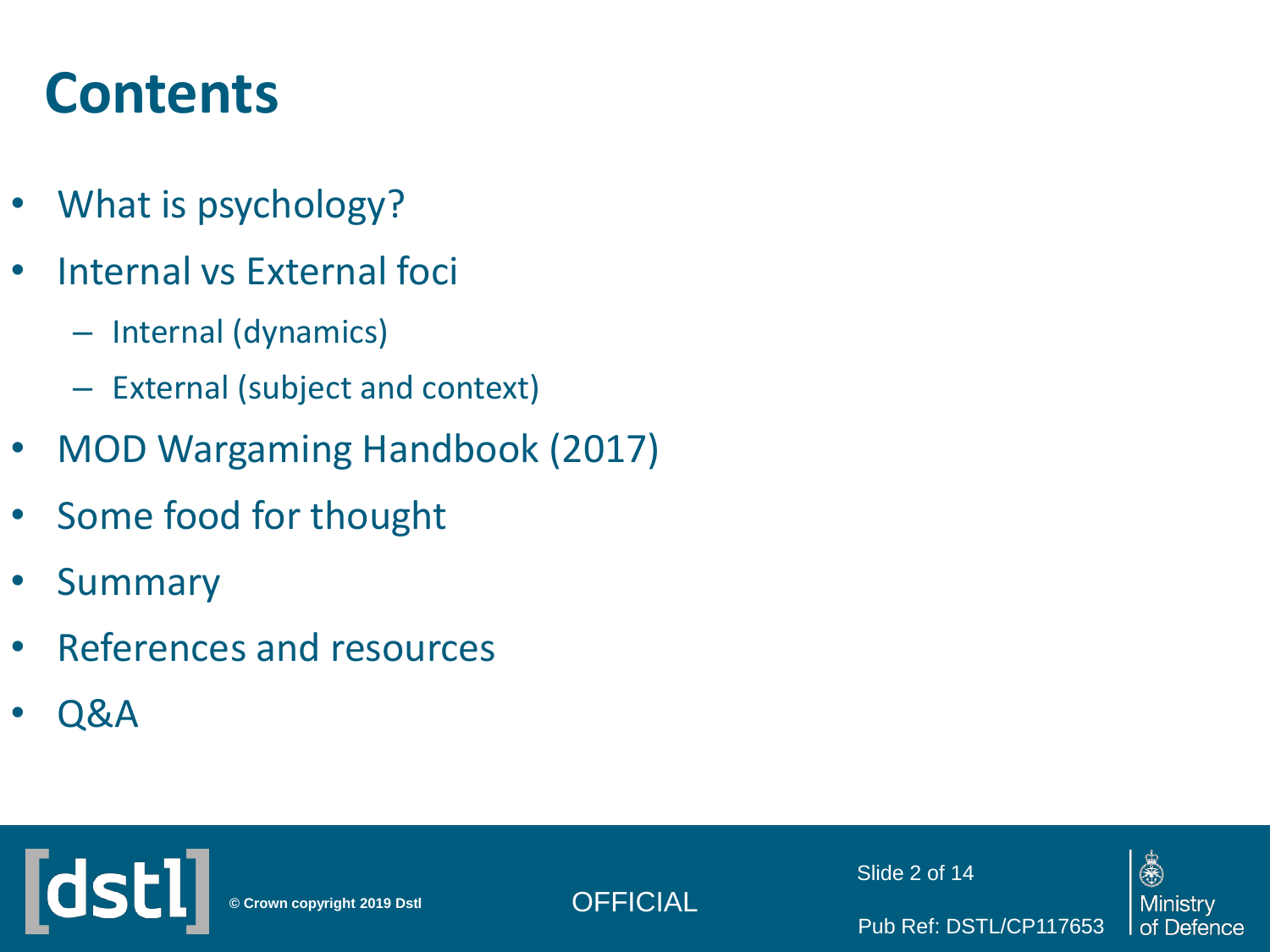### **Contents**

- What is psychology?
- Internal vs External foci
	- Internal (dynamics)
	- External (subject and context)
- MOD Wargaming Handbook (2017)
- Some food for thought
- Summary
- References and resources
- Q&A





Slide 2 of 14

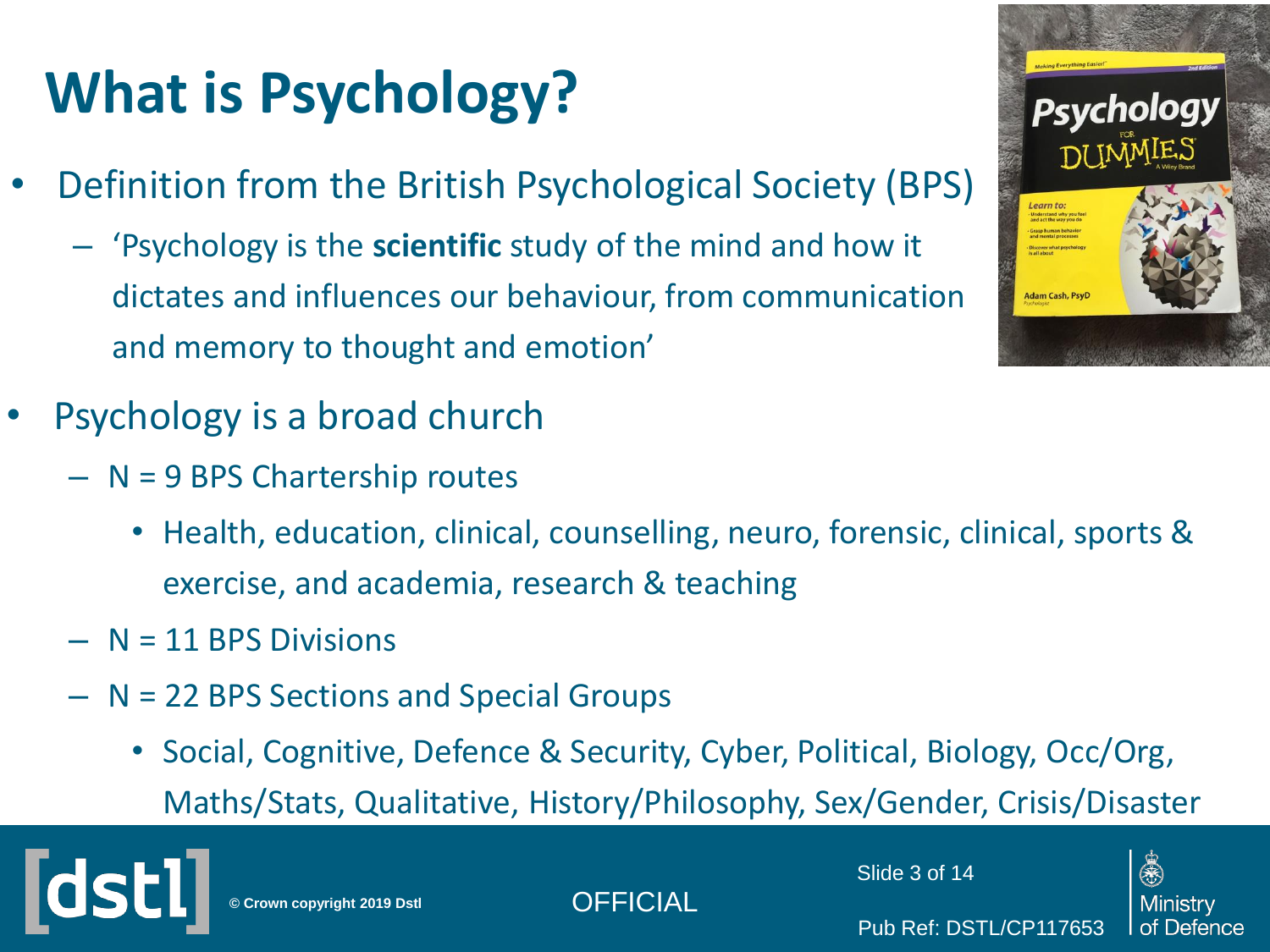# **What is Psychology?**

- Definition from the British Psychological Society (BPS)
	- 'Psychology is the **scientific** study of the mind and how it dictates and influences our behaviour, from communication and memory to thought and emotion'
- Psychology is a broad church
	- N = 9 BPS Chartership routes
		- Health, education, clinical, counselling, neuro, forensic, clinical, sports & exercise, and academia, research & teaching
	- $N = 11$  BPS Divisions
	- N = 22 BPS Sections and Special Groups
		- Social, Cognitive, Defence & Security, Cyber, Political, Biology, Occ/Org, Maths/Stats, Qualitative, History/Philosophy, Sex/Gender, Crisis/Disaster



**© Crown copyright 2019 Dstl** OFFICIAL



Pub Ref: DSTL/CP117653



(永)

of Defence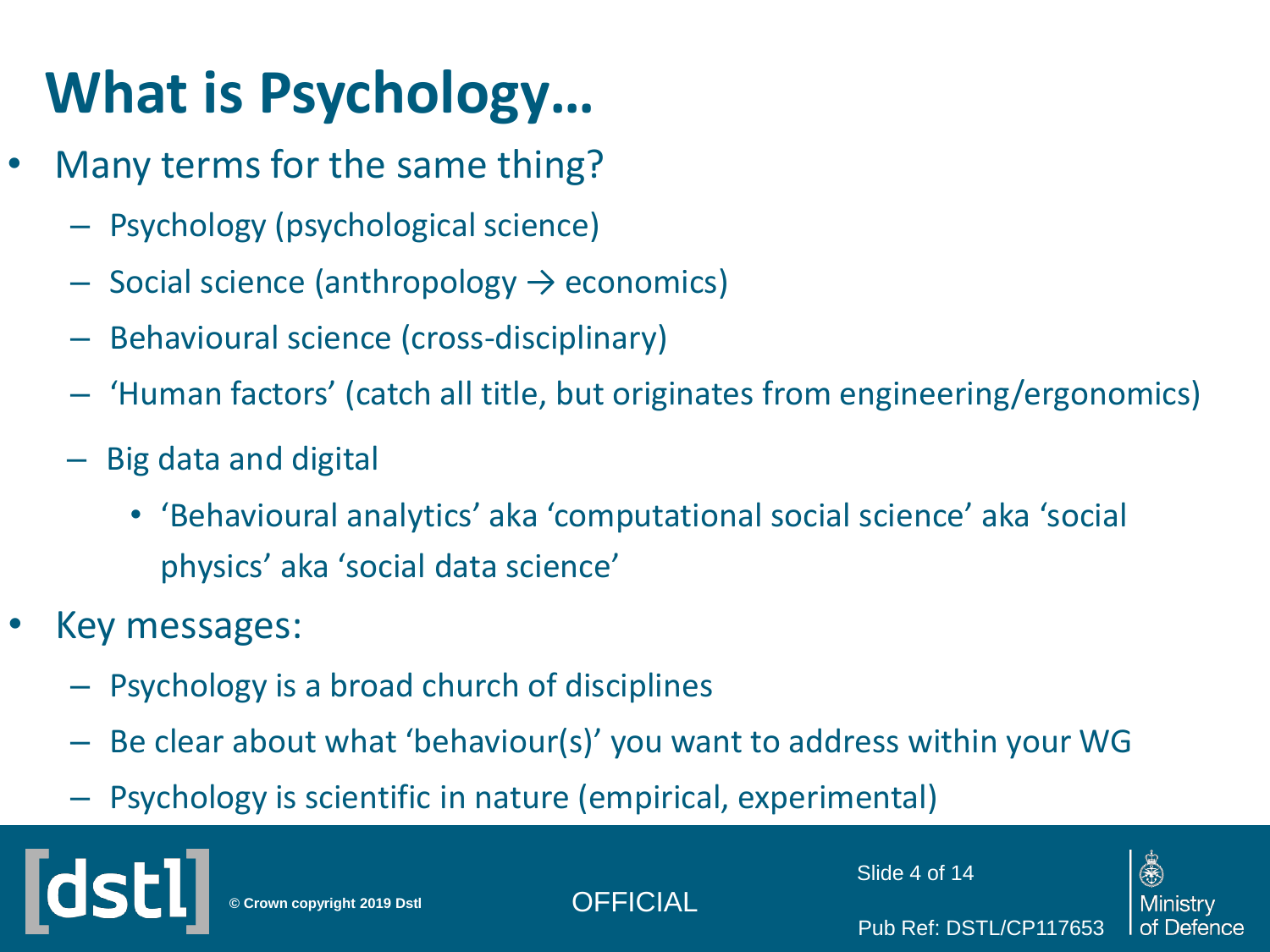### **What is Psychology…**

- Many terms for the same thing?
	- Psychology (psychological science)
	- $-$  Social science (anthropology  $\rightarrow$  economics)
	- Behavioural science (cross-disciplinary)
	- 'Human factors' (catch all title, but originates from engineering/ergonomics)
	- Big data and digital
		- 'Behavioural analytics' aka 'computational social science' aka 'social physics' aka 'social data science'
- Key messages:
	- Psychology is a broad church of disciplines
	- Be clear about what 'behaviour(s)' you want to address within your WG
	- Psychology is scientific in nature (empirical, experimental)

**© Crown copyright 2019 Dstl** OFFICIAL

Slide 4 of 14

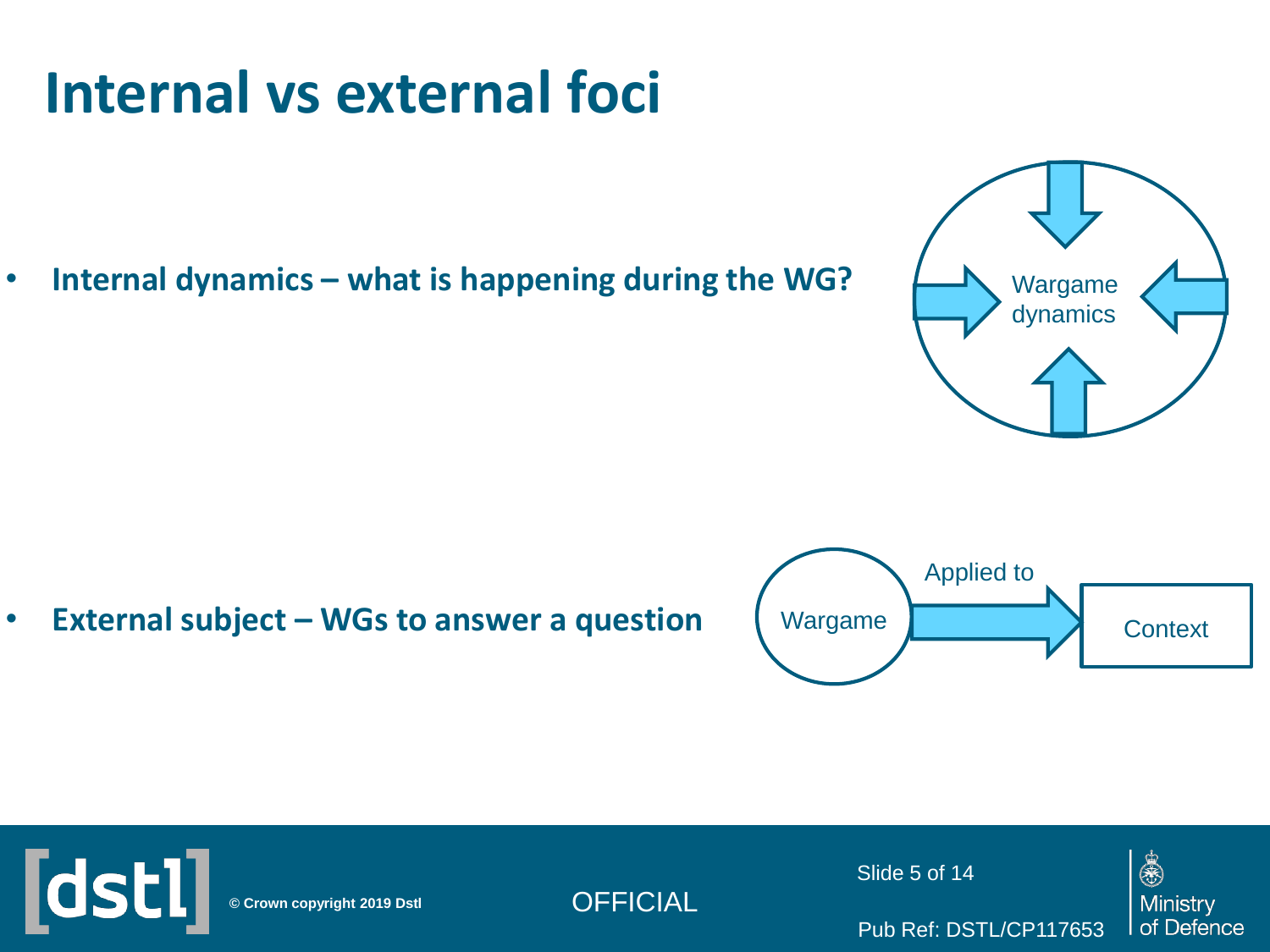### **Internal vs external foci**

• **Internal dynamics – what is happening during the WG?**



• **External subject – WGs to answer a question**



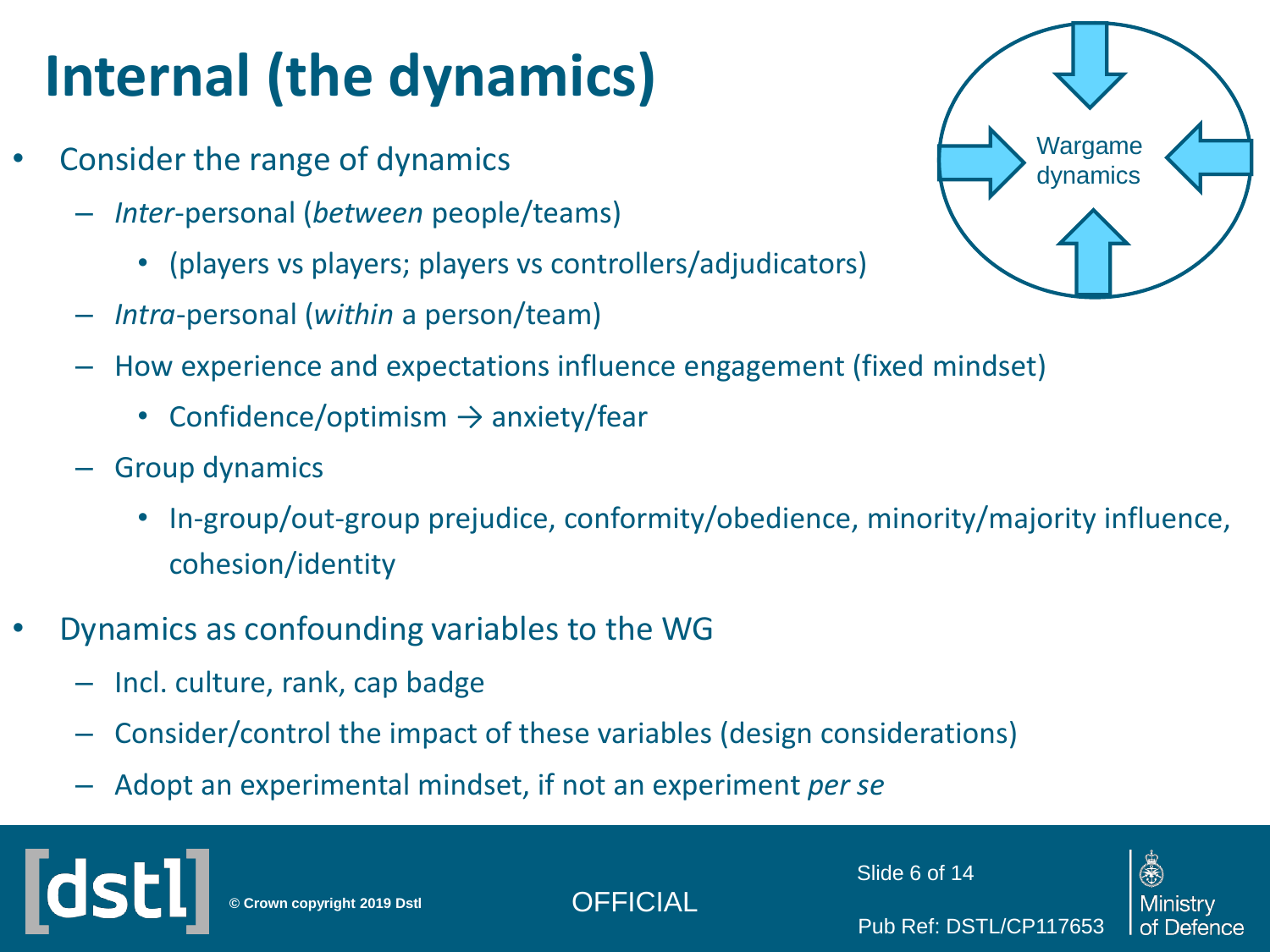# **Internal (the dynamics)**

- Consider the range of dynamics
	- *Inter*-personal (*between* people/teams)
		- (players vs players; players vs controllers/adjudicators)
	- *Intra*-personal (*within* a person/team)
	- How experience and expectations influence engagement (fixed mindset)
		- Confidence/optimism  $\rightarrow$  anxiety/fear
	- Group dynamics
		- In-group/out-group prejudice, conformity/obedience, minority/majority influence, cohesion/identity
- Dynamics as confounding variables to the WG
	- Incl. culture, rank, cap badge
	- Consider/control the impact of these variables (design considerations)
	- Adopt an experimental mindset, if not an experiment *per se*



**© Crown copyright 2019 Dstl** OFFICIAL

Slide 6 of 14

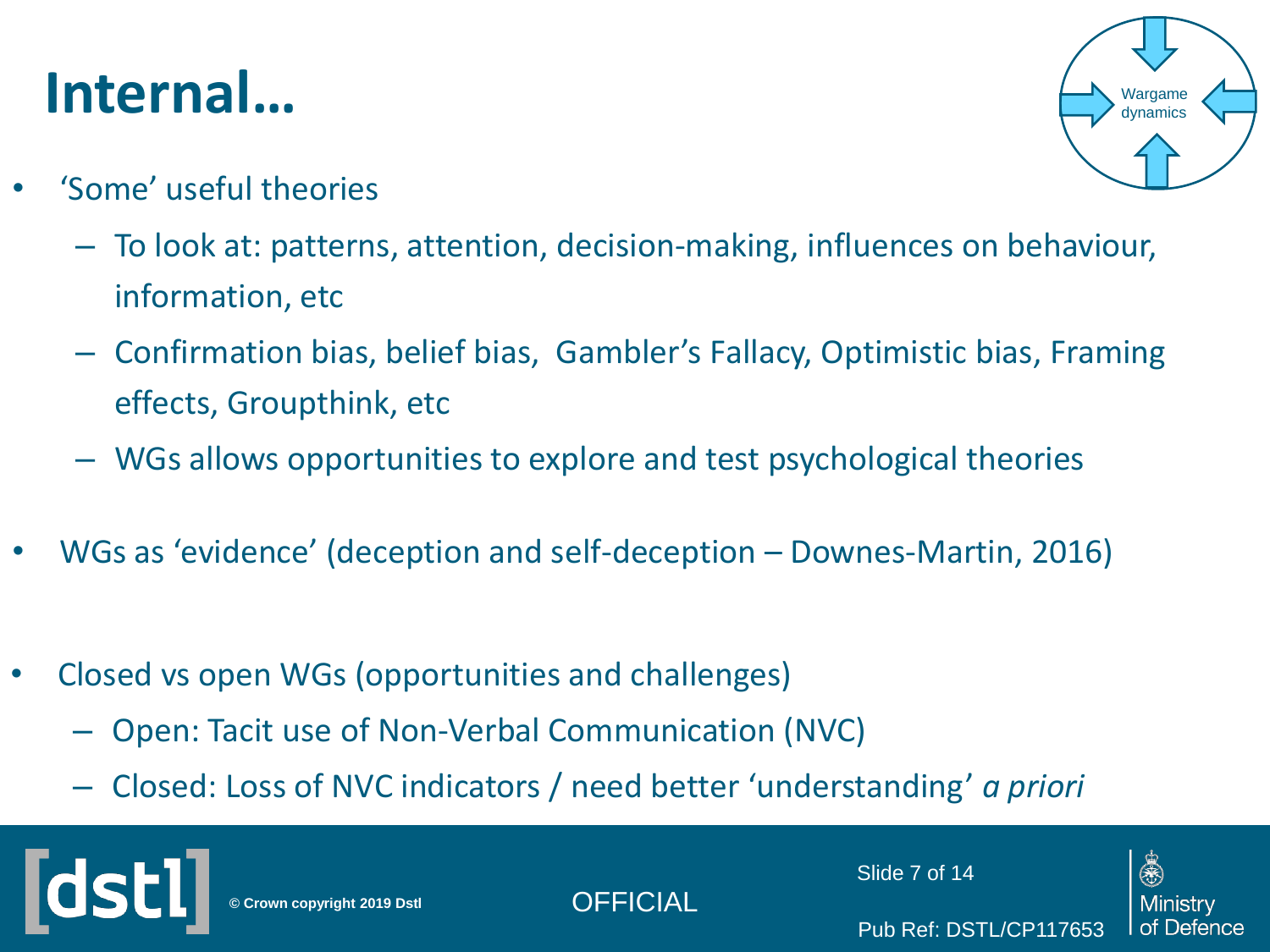### **Internal…**

Wargame dynamic:

- 'Some' useful theories
	- To look at: patterns, attention, decision-making, influences on behaviour, information, etc
	- Confirmation bias, belief bias, Gambler's Fallacy, Optimistic bias, Framing effects, Groupthink, etc
	- WGs allows opportunities to explore and test psychological theories
- WGs as 'evidence' (deception and self-deception Downes-Martin, 2016)
- Closed vs open WGs (opportunities and challenges)
	- Open: Tacit use of Non-Verbal Communication (NVC)
	- Closed: Loss of NVC indicators / need better 'understanding' *a priori*

**© Crown copyright 2019 Dstl** OFFICIAL

Slide 7 of 14

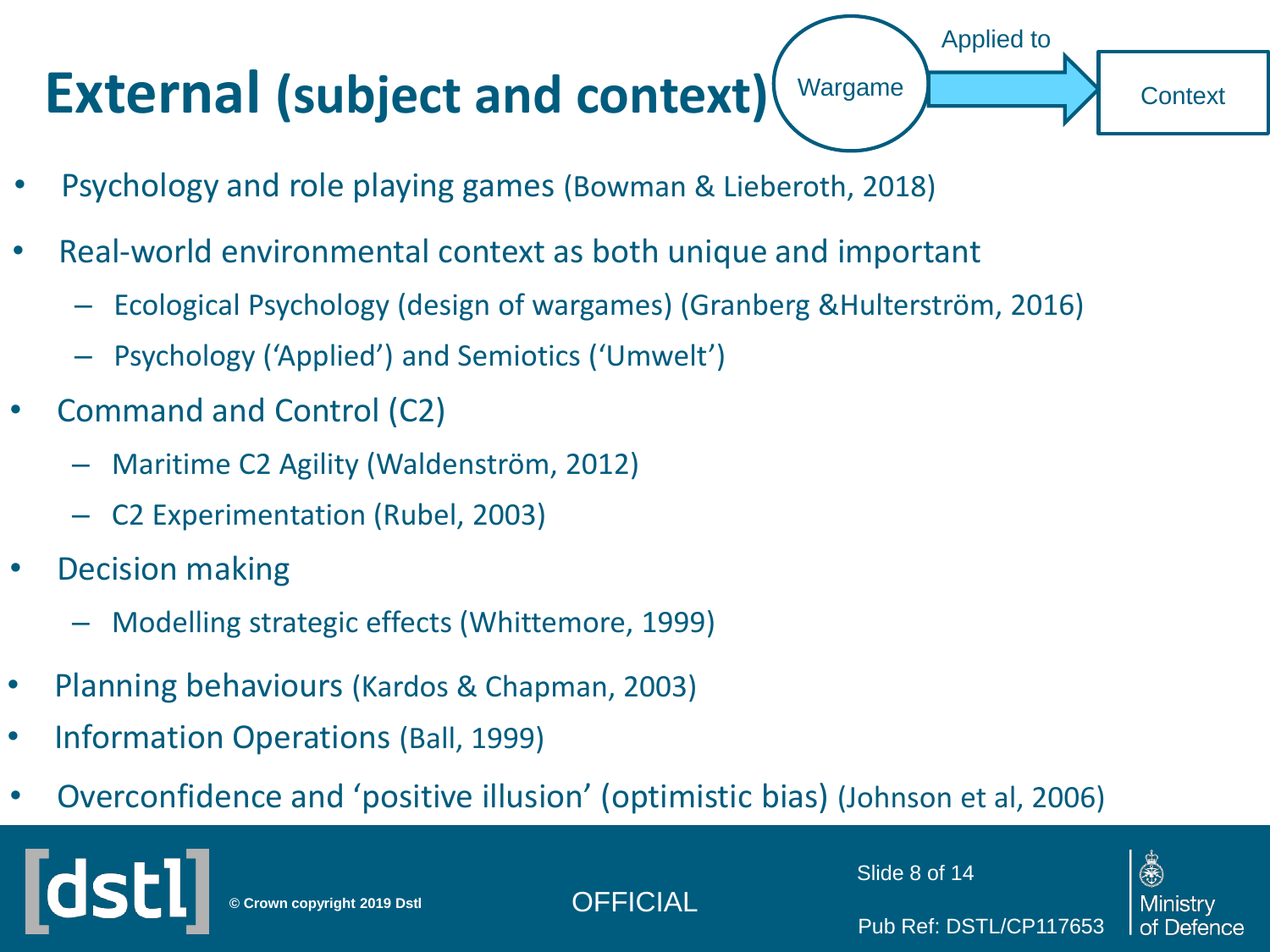#### **External (subject and context)** Wargame

- Psychology and role playing games (Bowman & Lieberoth, 2018)
- Real-world environmental context as both unique and important
	- Ecological Psychology (design of wargames) (Granberg &Hulterström, 2016)
	- Psychology ('Applied') and Semiotics ('Umwelt')
- Command and Control (C2)
	- Maritime C2 Agility (Waldenström, 2012)
	- C2 Experimentation (Rubel, 2003)
- Decision making
	- Modelling strategic effects (Whittemore, 1999)
- Planning behaviours (Kardos & Chapman, 2003)
- Information Operations (Ball, 1999)
- Overconfidence and 'positive illusion' (optimistic bias) (Johnson et al, 2006)

**© Crown copyright 2019 Dstl** OFFICIAL

Slide 8 of 14

Pub Ref: DSTL/CP117653

Applied to



**Context**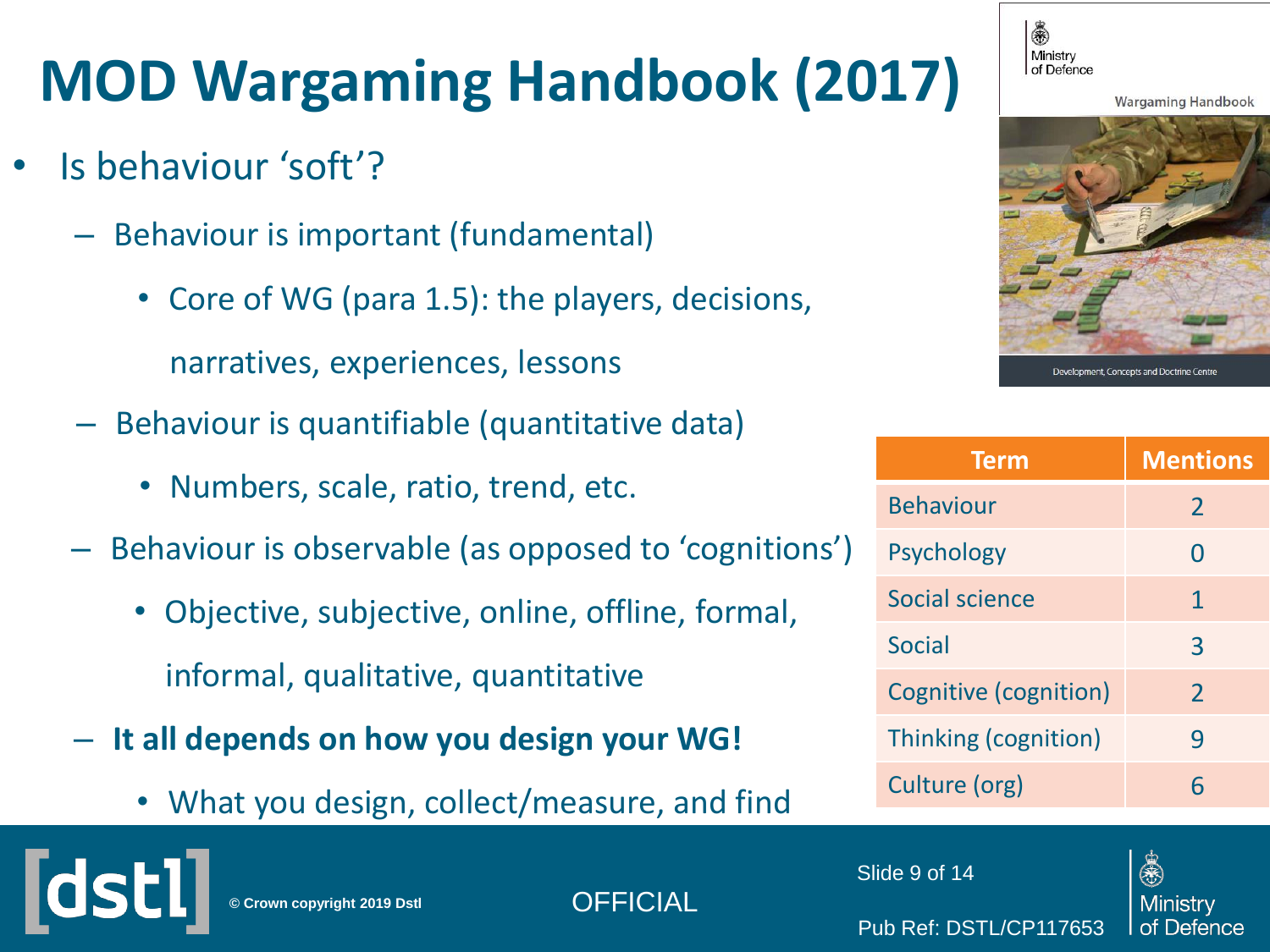### **MOD Wargaming Handbook (2017)**

- Is behaviour 'soft'?
	- Behaviour is important (fundamental)
		- Core of WG (para 1.5): the players, decisions,

narratives, experiences, lessons

- Behaviour is quantifiable (quantitative data)
	- Numbers, scale, ratio, trend, etc.
- Behaviour is observable (as opposed to 'cognitions')
	- Objective, subjective, online, offline, formal, informal, qualitative, quantitative
- **It all depends on how you design your WG!**
	- What you design, collect/measure, and find



**Wargaming Handbook** 



| <b>Mentions</b> |
|-----------------|
| $\overline{2}$  |
| 0               |
| 1               |
| 3               |
| $\overline{2}$  |
| 9               |
| 6               |
|                 |

Slide 9 of 14

Pub Ref: DSTL/CP117653



**© Crown copyright 2019 Dstl** OFFICIAL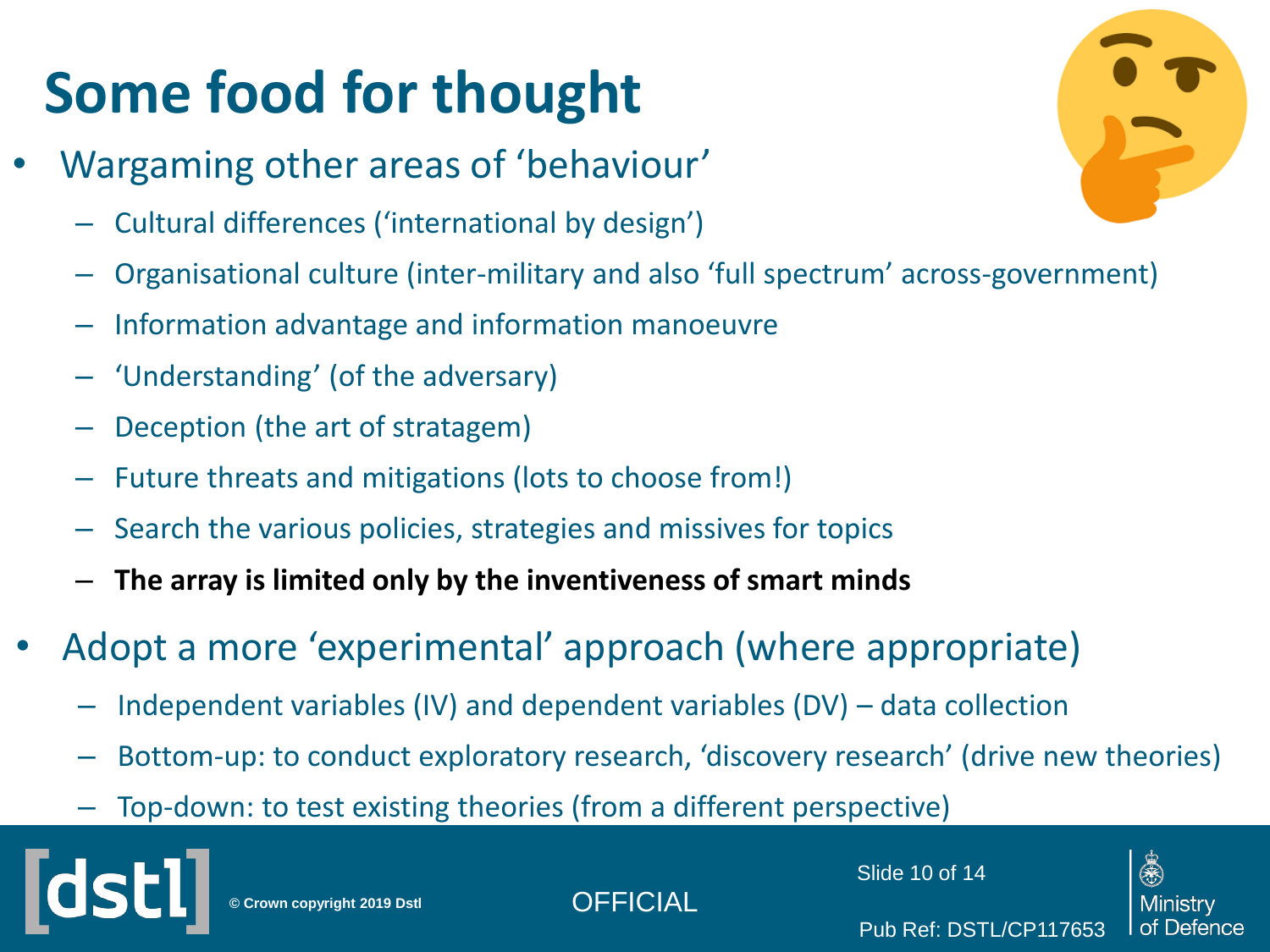# **Some food for thought**

- Wargaming other areas of 'behaviour'
	- Cultural differences ('international by design')
	- Organisational culture (inter-military and also 'full spectrum' across-government)
	- Information advantage and information manoeuvre
	- 'Understanding' (of the adversary)
	- Deception (the art of stratagem)
	- Future threats and mitigations (lots to choose from!)
	- Search the various policies, strategies and missives for topics
	- **The array is limited only by the inventiveness of smart minds**
- Adopt a more 'experimental' approach (where appropriate)
	- Independent variables (IV) and dependent variables (DV) data collection
	- Bottom-up: to conduct exploratory research, 'discovery research' (drive new theories)
	- Top-down: to test existing theories (from a different perspective)



**© Crown copyright 2019 Dstl** OFFICIAL

Slide 10 of 14

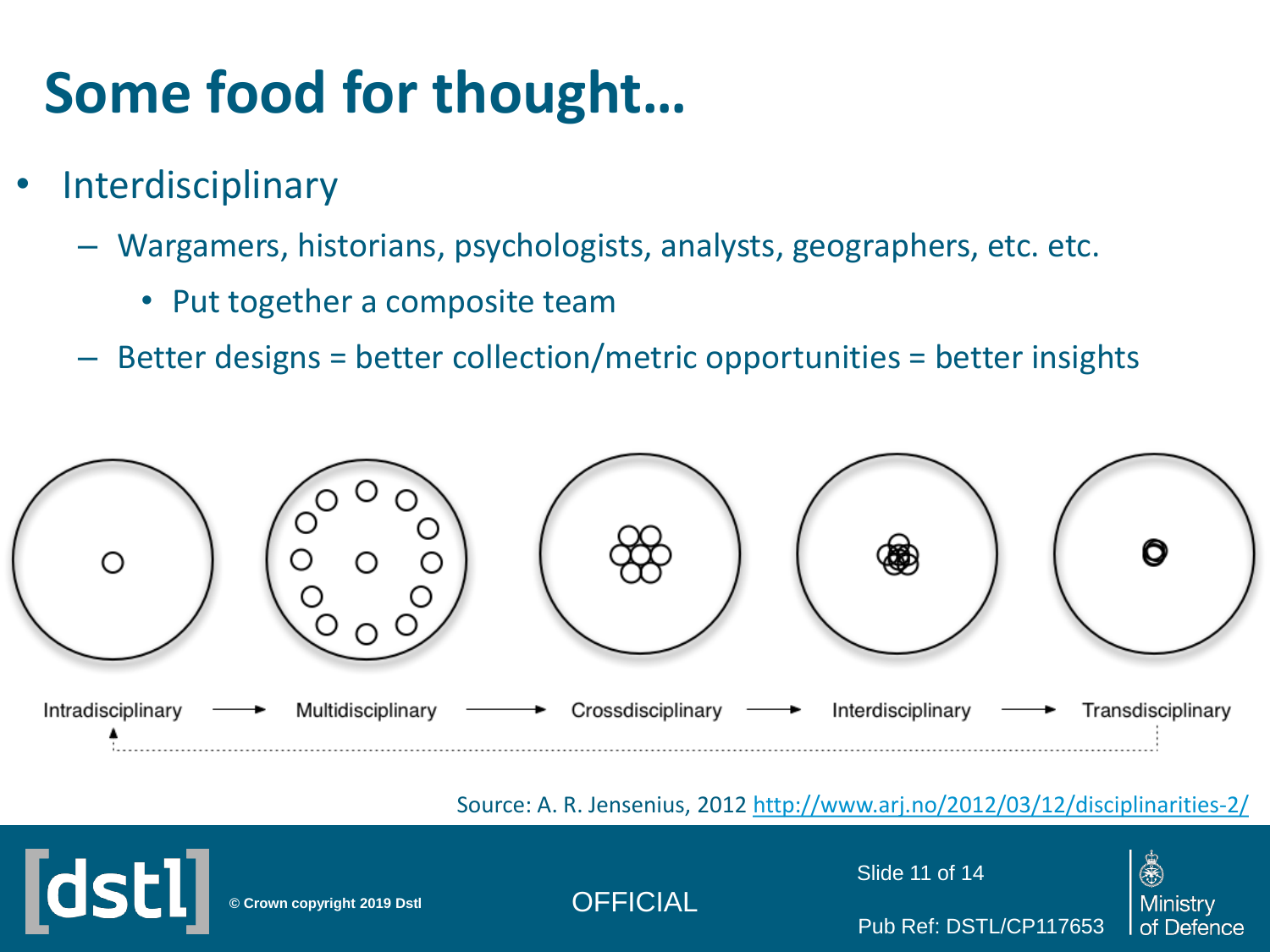# **Some food for thought…**

- **Interdisciplinary** 
	- Wargamers, historians, psychologists, analysts, geographers, etc. etc.
		- Put together a composite team
	- Better designs = better collection/metric opportunities = better insights



Source: A. R. Jensenius, 2012 <http://www.arj.no/2012/03/12/disciplinarities-2/>



**© Crown copyright 2019 Dstl** OFFICIAL

Slide 11 of 14

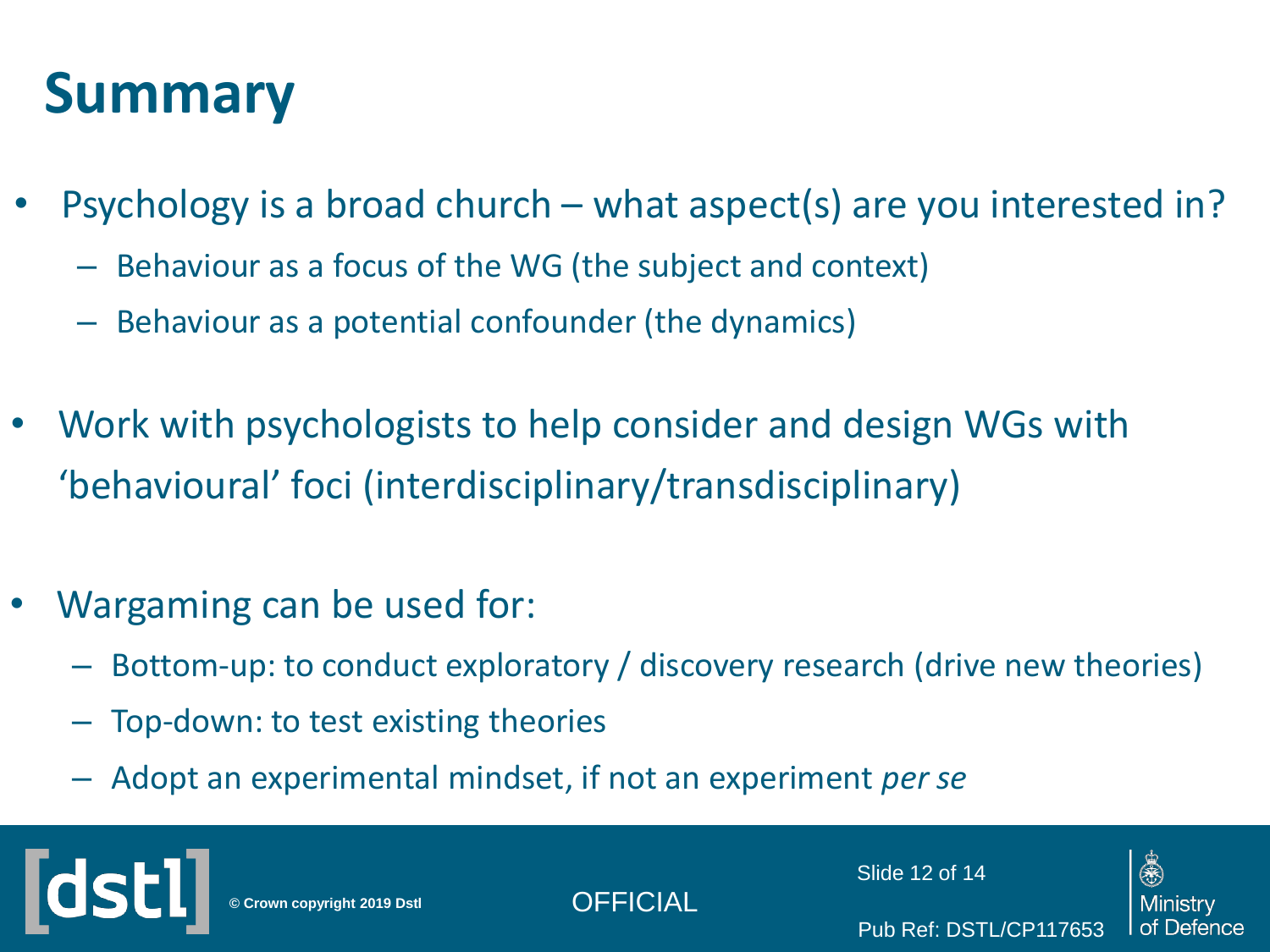### **Summary**

- Psychology is a broad church what aspect(s) are you interested in?
	- Behaviour as a focus of the WG (the subject and context)
	- Behaviour as a potential confounder (the dynamics)
- Work with psychologists to help consider and design WGs with 'behavioural' foci (interdisciplinary/transdisciplinary)
- Wargaming can be used for:
	- Bottom-up: to conduct exploratory / discovery research (drive new theories)
	- Top-down: to test existing theories
	- Adopt an experimental mindset, if not an experiment *per se*

**© Crown copyright 2019 Dstl** OFFICIAL

Slide 12 of 14

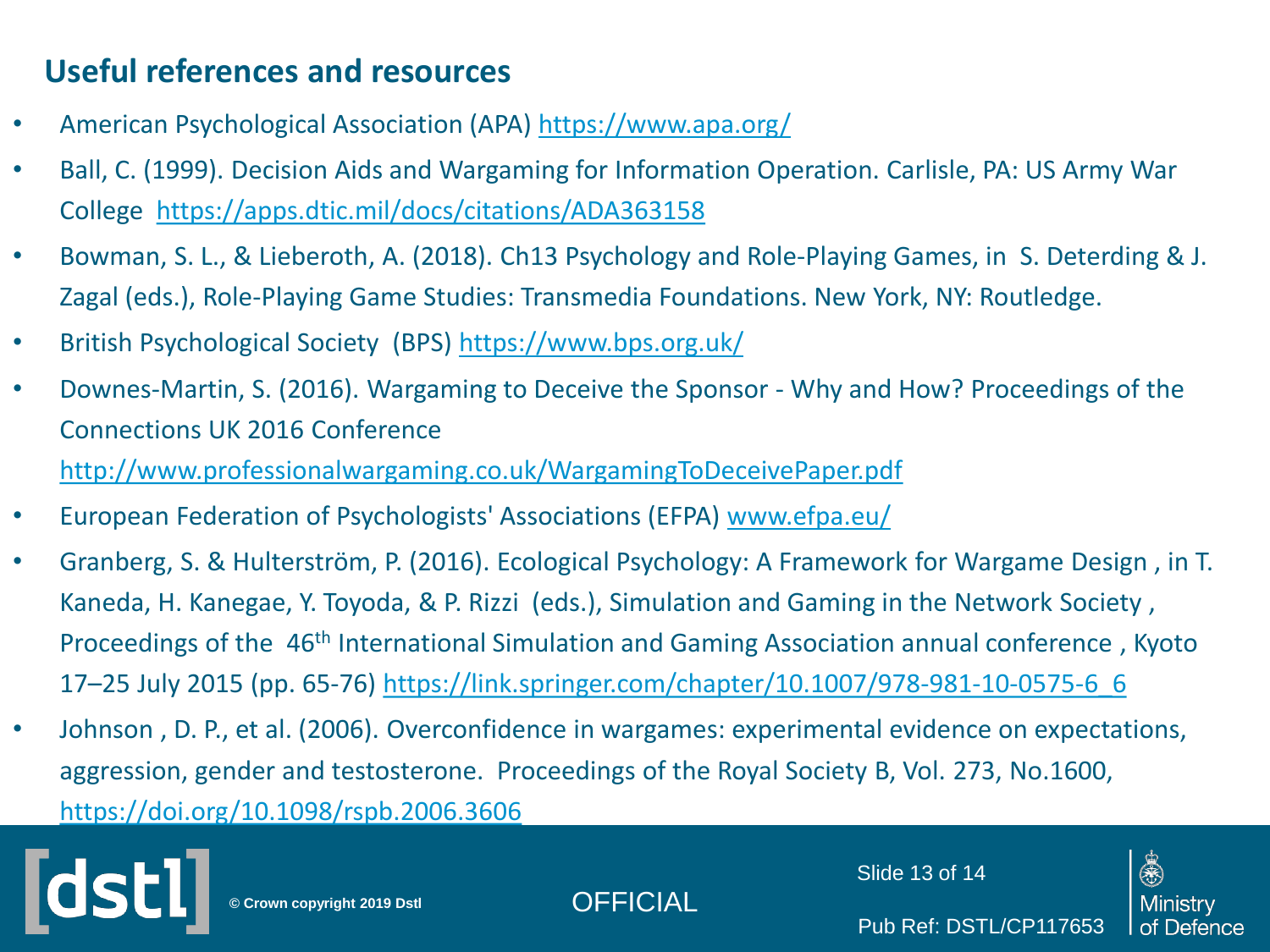#### **Useful references and resources**

- American Psychological Association (APA) <https://www.apa.org/>
- Ball, C. (1999). Decision Aids and Wargaming for Information Operation. Carlisle, PA: US Army War College <https://apps.dtic.mil/docs/citations/ADA363158>
- Bowman, S. L., & Lieberoth, A. (2018). Ch13 Psychology and Role-Playing Games, in S. Deterding & J. Zagal (eds.), Role-Playing Game Studies: Transmedia Foundations. New York, NY: Routledge.
- British Psychological Society (BPS) <https://www.bps.org.uk/>
- Downes-Martin, S. (2016). Wargaming to Deceive the Sponsor Why and How? Proceedings of the Connections UK 2016 Conference <http://www.professionalwargaming.co.uk/WargamingToDeceivePaper.pdf>
- European Federation of Psychologists' Associations (EFPA) [www.efpa.eu/](http://www.efpa.eu/)
- Granberg, S. & Hulterström, P. (2016). Ecological Psychology: A Framework for Wargame Design , in T. Kaneda, H. Kanegae, Y. Toyoda, & P. Rizzi (eds.), Simulation and Gaming in the Network Society , Proceedings of the 46th International Simulation and Gaming Association annual conference , Kyoto 17–25 July 2015 (pp. 65-76) [https://link.springer.com/chapter/10.1007/978-981-10-0575-6\\_6](https://link.springer.com/chapter/10.1007/978-981-10-0575-6_6)
- Johnson , D. P., et al. (2006). Overconfidence in wargames: experimental evidence on expectations, aggression, gender and testosterone. Proceedings of the Royal Society B, Vol. 273, No.1600, <https://doi.org/10.1098/rspb.2006.3606>

**© Crown copyright 2019 Dstl** OFFICIAL

Slide 13 of 14